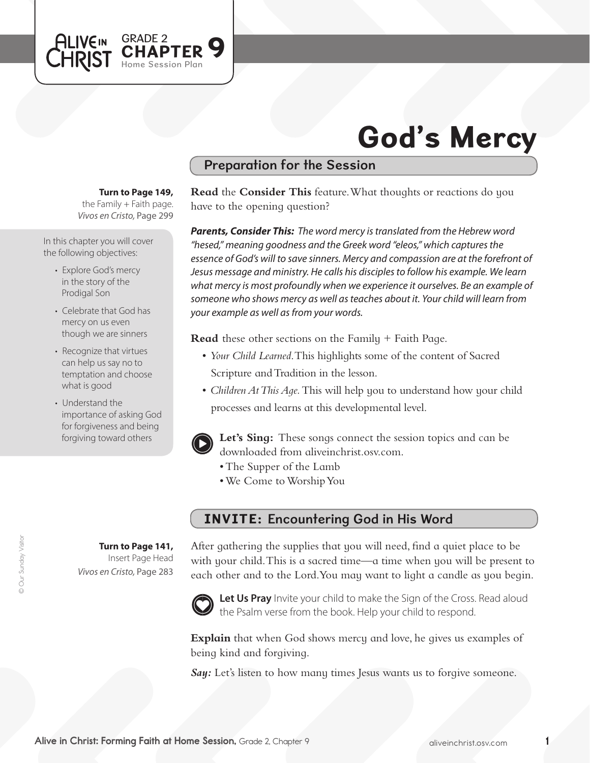

# God's Mercy

### Preparation for the Session

**Turn to Page 149,** 

the Family + Faith page. *Vivos en Cristo,* Page 299

In this chapter you will cover the following objectives:

- Explore God's mercy in the story of the Prodigal Son
- Celebrate that God has mercy on us even though we are sinners
- Recognize that virtues can help us say no to temptation and choose what is good
- Understand the importance of asking God for forgiveness and being forgiving toward others

**Turn to Page 141,** Insert Page Head *Vivos en Cristo,* Page 283

© Our Sunday Visitor

**Our Sunday Visitor** 

**Read** the **Consider This** feature. What thoughts or reactions do you have to the opening question?

*Parents, Consider This: The word mercy is translated from the Hebrew word "hesed," meaning goodness and the Greek word "eleos," which captures the essence of God's will to save sinners. Mercy and compassion are at the forefront of Jesus message and ministry. He calls his disciples to follow his example. We learn what mercy is most profoundly when we experience it ourselves. Be an example of someone who shows mercy as well as teaches about it. Your child will learn from your example as well as from your words.* 

**Read** these other sections on the Family + Faith Page.

- • *Your Child Learned*. This highlights some of the content of Sacred Scripture and Tradition in the lesson.
- *Children At This Aqe*. This will help you to understand how your child processes and learns at this developmental level.



**Let's Sing:** These songs connect the session topics and can be downloaded from aliveinchrist.osv.com.

- The Supper of the Lamb
- We Come to Worship You

#### INVITE: Encountering God in His Word

After gathering the supplies that you will need, find a quiet place to be with your child. This is a sacred time—a time when you will be present to each other and to the Lord.You may want to light a candle as you begin.



Let Us Pray Invite your child to make the Sign of the Cross. Read aloud the Psalm verse from the book. Help your child to respond.

**Explain** that when God shows mercy and love, he gives us examples of being kind and forgiving.

**Say:** Let's listen to how many times Jesus wants us to forgive someone.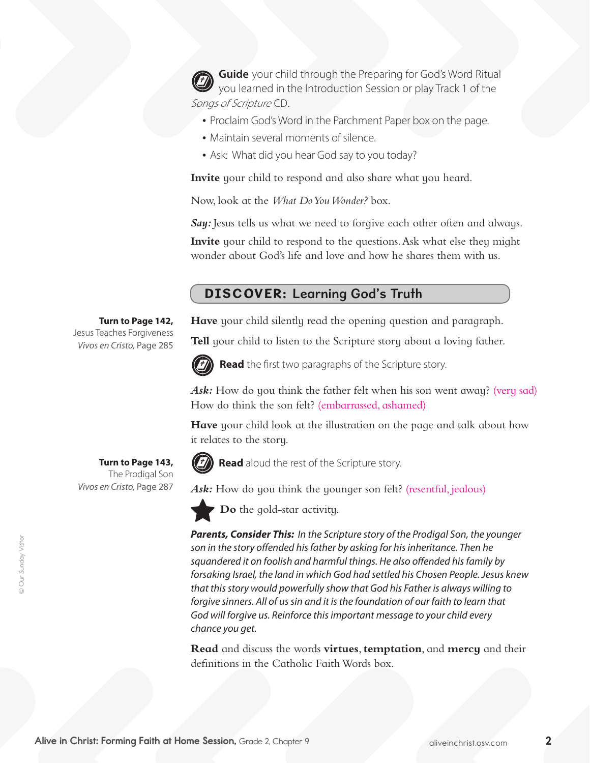**Guide** your child through the Preparing for God's Word Ritual you learned in the Introduction Session or play Track 1 of the Songs of Scripture CD.

- Proclaim God's Word in the Parchment Paper box on the page.
- Maintain several moments of silence.
- Ask: What did you hear God say to you today?

**Invite** your child to respond and also share what you heard.

Now, look at the *What Do You Wonder?* box.

Sau: Jesus tells us what we need to forgive each other often and always.

**Invite** your child to respond to the questions. Ask what else they might wonder about God's life and love and how he shares them with us.

## DISCOVER: Learning God's Truth

**Have** your child silently read the opening question and paragraph.

**Tell** your child to listen to the Scripture story about a loving father.



**Read** the first two paragraphs of the Scripture story.

Ask: How do you think the father felt when his son went away? (very sad) How do think the son felt? (embarrassed, ashamed)

**Have** your child look at the illustration on the page and talk about how it relates to the story.



**Read** aloud the rest of the Scripture story.

Ask: How do you think the younger son felt? (resentful, jealous)



**Do** the gold-star activity.

*Parents, Consider This: In the Scripture story of the Prodigal Son, the younger son in the story offended his father by asking for his inheritance. Then he squandered it on foolish and harmful things. He also offended his family by forsaking Israel, the land in which God had settled his Chosen People. Jesus knew that this story would powerfully show that God his Father is always willing to forgive sinners. All of us sin and it is the foundation of our faith to learn that God will forgive us. Reinforce this important message to your child every chance you get.*

**Read** and discuss the words **virtues**, **temptation**, and **mercy** and their definitions in the Catholic Faith Words box.

**Turn to Page 142,** Jesus Teaches Forgiveness *Vivos en Cristo,* Page 285

**Turn to Page 143,**  The Prodigal Son *Vivos en Cristo,* Page 287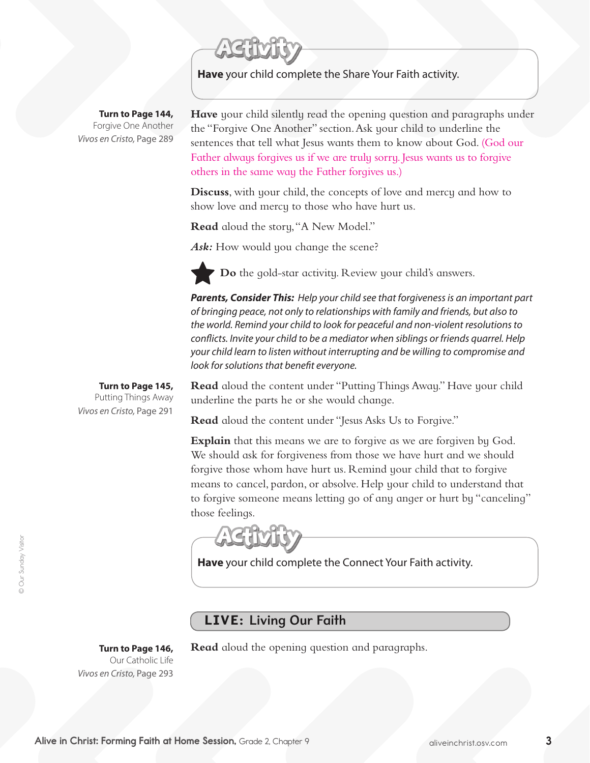**Have** your child complete the Share Your Faith activity.

**Turn to Page 144,** Forgive One Another *Vivos en Cristo,* Page 289

**Have** your child silently read the opening question and paragraphs under the "Forgive One Another" section. Ask your child to underline the sentences that tell what Jesus wants them to know about God. (God our Father always forgives us if we are truly sorry. Jesus wants us to forgive others in the same way the Father forgives us.)

**Discuss**, with your child, the concepts of love and mercy and how to show love and mercy to those who have hurt us.

**Read** aloud the story, "A New Model."

Ask: How would you change the scene?

**Do** the gold-star activity. Review your child's answers.

*Parents, Consider This: Help your child see that forgiveness is an important part of bringing peace, not only to relationships with family and friends, but also to the world. Remind your child to look for peaceful and non-violent resolutions to conflicts. Invite your child to be a mediator when siblings or friends quarrel. Help your child learn to listen without interrupting and be willing to compromise and look for solutions that benefit everyone.* 

**Turn to Page 145,** Putting Things Away *Vivos en Cristo,* Page 291

**Read** aloud the content under "Putting Things Away." Have your child underline the parts he or she would change.

**Read** aloud the content under "Jesus Asks Us to Forgive."

**Explain** that this means we are to forgive as we are forgiven by God. We should ask for forgiveness from those we have hurt and we should forgive those whom have hurt us. Remind your child that to forgive means to cancel, pardon, or absolve. Help your child to understand that to forgive someone means letting go of any anger or hurt by "canceling" those feelings.

**Have** your child complete the Connect Your Faith activity.

#### LIVE: Living Our Faith

**Turn to Page 146,**  Our Catholic Life *Vivos en Cristo,* Page 293

**Read** aloud the opening question and paragraphs.

Alive in Christ: Forming Faith at Home Session, Grade 2, Chapter 9 aliveinchrist.osv.com